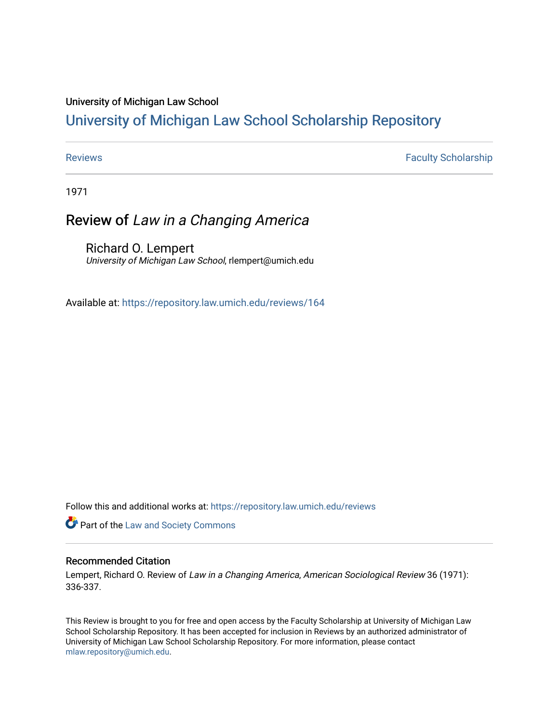### University of Michigan Law School

## [University of Michigan Law School Scholarship Repository](https://repository.law.umich.edu/)

[Reviews](https://repository.law.umich.edu/reviews) **Faculty Scholarship Faculty Scholarship Faculty Scholarship** 

1971

# Review of Law in a Changing America

Richard O. Lempert University of Michigan Law School, rlempert@umich.edu

Available at: <https://repository.law.umich.edu/reviews/164>

Follow this and additional works at: [https://repository.law.umich.edu/reviews](https://repository.law.umich.edu/reviews?utm_source=repository.law.umich.edu%2Freviews%2F164&utm_medium=PDF&utm_campaign=PDFCoverPages) 

**Part of the [Law and Society Commons](http://network.bepress.com/hgg/discipline/853?utm_source=repository.law.umich.edu%2Freviews%2F164&utm_medium=PDF&utm_campaign=PDFCoverPages)** 

### Recommended Citation

Lempert, Richard O. Review of Law in a Changing America, American Sociological Review 36 (1971): 336-337.

This Review is brought to you for free and open access by the Faculty Scholarship at University of Michigan Law School Scholarship Repository. It has been accepted for inclusion in Reviews by an authorized administrator of University of Michigan Law School Scholarship Repository. For more information, please contact [mlaw.repository@umich.edu.](mailto:mlaw.repository@umich.edu)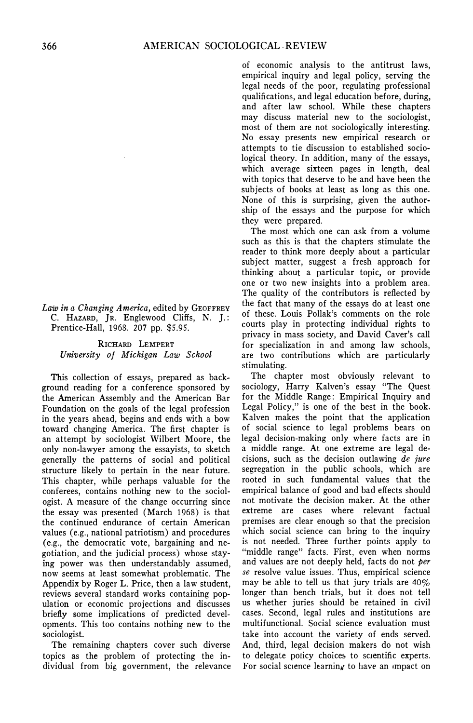*Law in a Changing America,* edited by GEOFFREY C. HAZARD, JR. Englewood Cliffs, N. J.: Prentice-Hall, 1968. 207 pp. *\$5.95.*

RICHARD LEMPERT *University of Michigan Law School* 

This collection of essays, prepared as background reading for a conference sponsored by the American Assembly and the American Bar Foundation on the goals of the legal profession in the years ahead, begins and ends with a bow toward changing America. The first chapter is an attempt by sociologist Wilbert Moore, the only non-lawyer among the essayists, to sketch generally the patterns of social and political structure likely to pertain in the near future. This chapter, while perhaps valuable for the conferees, contains nothing new to the sociologist. A measure of the change occurring since the essay was presented (March 1968) is that the continued endurance of certain American values (e.g., national patriotism) and procedures ( e.g., the democratic vote, bargaining and negotiation, and the judicial process) whose staying power was then understandably assumed, now seems at least somewhat problematic. The Appendix by Roger L. Price, then a law student, reviews several standard works containing population or economic projections and discusses briefly some implications of predicted developments. This too contains nothing new to the sociologist.

The remaining chapters cover such diverse topics as the problem of protecting the individual from big, government, the relevance

of economic analysis to the antitrust laws, empirical inquiry and legal policy, serving the legal needs of the poor, regulating professional qualifications, and legal education before, during, and after law school. While these chapters may discuss material new to the sociologist, most of them are not sociologically interesting. No essay presents new empirical research or attempts to tie discussion to established sociological theory. In addition, many of the essays, which average sixteen pages in length, deal with topics that deserve to be and have been the subjects of books at least as long as this one. None of this is surprising, given the authorship of the essays and the purpose for which they were prepared.

The most which one can ask from a volume such as this is that the chapters stimulate the reader to think more deeply about a particular subject matter, suggest a fresh approach for thinking about a particular topic, or provide one or two new insights into a problem area. The quality of the contributors is reflected by the fact that many of the essays do at least one of these. Louis Pollak's comments on the role courts play in protecting individual rights to privacy in mass society, and David Caver's call for specialization in and among law schools, are two contributions which are particularly stimulating.

The chapter most obviously relevant to sociology, Harry Kalven's essay "The Quest for the Middle Range: Empirical Inquiry and Legal Policy," is one of the best in the book. Kalven makes the point that the application of social science to legal problems bears on legal decision-making only where facts are in a middle range. At one extreme are legal decisions, such as the decision outlawing *de jure*  segregation in the public schools, which are rooted in such fundamental values that the empirical balance of good and bad effects should not motivate the decision maker. At the other extreme are cases where relevant factual premises are clear enough so that the precision which social science can bring to the inquiry is not needed. Three further points apply to "middle range" facts. First, even when norms and values are not deeply held, facts do not *per se* resolve value issues. Thus, empirical science may be able to tell us that jury trials are  $40\%$ longer than bench trials, but it does not tell us whether juries should be retained in civil cases. Second, legal rules and institutions are multifunctional. Social science evaluation must take into account the variety of ends served. And, third, legal decision makers do not wish to delegate policy choices to scientific experts. For social science learning to have an impact on